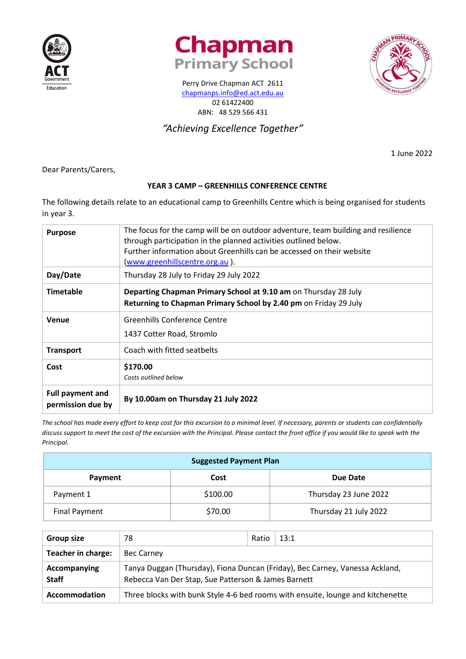





Perry Drive Chapman ACT 2611 [chapmanps.info@ed.act.edu.au](mailto:chapmanps.info@ed.act.edu.au) 02 61422400 ABN: 48 529 566 431

# *"Achieving Excellence Together"*

1 June 2022

Dear Parents/Carers,

# **YEAR 3 CAMP – GREENHILLS CONFERENCE CENTRE**

The following details relate to an educational camp to Greenhills Centre which is being organised for students in year 3.

| <b>Purpose</b>                               | The focus for the camp will be on outdoor adventure, team building and resilience<br>through participation in the planned activities outlined below.<br>Further information about Greenhills can be accessed on their website<br>(www.greenhillscentre.org.au). |
|----------------------------------------------|-----------------------------------------------------------------------------------------------------------------------------------------------------------------------------------------------------------------------------------------------------------------|
| Day/Date                                     | Thursday 28 July to Friday 29 July 2022                                                                                                                                                                                                                         |
| <b>Timetable</b>                             | Departing Chapman Primary School at 9.10 am on Thursday 28 July<br>Returning to Chapman Primary School by 2.40 pm on Friday 29 July                                                                                                                             |
| Venue                                        | Greenhills Conference Centre<br>1437 Cotter Road, Stromlo                                                                                                                                                                                                       |
| <b>Transport</b>                             | Coach with fitted seatbelts                                                                                                                                                                                                                                     |
| Cost                                         | \$170.00<br>Costs outlined below                                                                                                                                                                                                                                |
| <b>Full payment and</b><br>permission due by | By 10.00am on Thursday 21 July 2022                                                                                                                                                                                                                             |

*The school has made every effort to keep cost for this excursion to a minimal level. If necessary, parents or students can confidentially discuss support to meet the cost of the excursion with the Principal. Please contact the front office if you would like to speak with the Principal.*

| <b>Suggested Payment Plan</b> |          |                       |  |
|-------------------------------|----------|-----------------------|--|
| Payment                       | Cost     | Due Date              |  |
| Payment 1                     | \$100.00 | Thursday 23 June 2022 |  |
| Final Payment                 | \$70.00  | Thursday 21 July 2022 |  |

| <b>Group size</b>            | 78                                                                                                                                  | Ratio | 13:1                                                                            |
|------------------------------|-------------------------------------------------------------------------------------------------------------------------------------|-------|---------------------------------------------------------------------------------|
| Teacher in charge:           | <b>Bec Carney</b>                                                                                                                   |       |                                                                                 |
| Accompanying<br><b>Staff</b> | Tanya Duggan (Thursday), Fiona Duncan (Friday), Bec Carney, Vanessa Ackland,<br>Rebecca Van Der Stap, Sue Patterson & James Barnett |       |                                                                                 |
| Accommodation                |                                                                                                                                     |       | Three blocks with bunk Style 4-6 bed rooms with ensuite, lounge and kitchenette |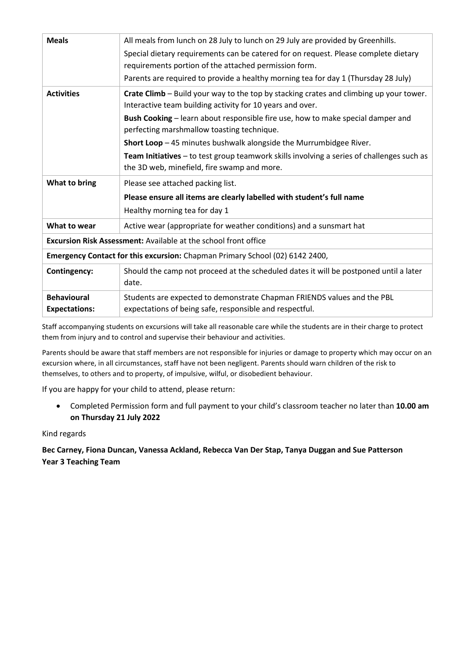| <b>Meals</b>                               | All meals from lunch on 28 July to lunch on 29 July are provided by Greenhills.<br>Special dietary requirements can be catered for on request. Please complete dietary<br>requirements portion of the attached permission form.<br>Parents are required to provide a healthy morning tea for day 1 (Thursday 28 July)                                                                                                                                                                                  |
|--------------------------------------------|--------------------------------------------------------------------------------------------------------------------------------------------------------------------------------------------------------------------------------------------------------------------------------------------------------------------------------------------------------------------------------------------------------------------------------------------------------------------------------------------------------|
| <b>Activities</b>                          | Crate Climb - Build your way to the top by stacking crates and climbing up your tower.<br>Interactive team building activity for 10 years and over.<br>Bush Cooking - learn about responsible fire use, how to make special damper and<br>perfecting marshmallow toasting technique.<br>Short Loop - 45 minutes bushwalk alongside the Murrumbidgee River.<br>Team Initiatives - to test group teamwork skills involving a series of challenges such as<br>the 3D web, minefield, fire swamp and more. |
| What to bring                              | Please see attached packing list.<br>Please ensure all items are clearly labelled with student's full name<br>Healthy morning tea for day 1                                                                                                                                                                                                                                                                                                                                                            |
| What to wear                               | Active wear (appropriate for weather conditions) and a sunsmart hat                                                                                                                                                                                                                                                                                                                                                                                                                                    |
|                                            | <b>Excursion Risk Assessment:</b> Available at the school front office                                                                                                                                                                                                                                                                                                                                                                                                                                 |
|                                            | Emergency Contact for this excursion: Chapman Primary School (02) 6142 2400,                                                                                                                                                                                                                                                                                                                                                                                                                           |
| <b>Contingency:</b>                        | Should the camp not proceed at the scheduled dates it will be postponed until a later<br>date.                                                                                                                                                                                                                                                                                                                                                                                                         |
| <b>Behavioural</b><br><b>Expectations:</b> | Students are expected to demonstrate Chapman FRIENDS values and the PBL<br>expectations of being safe, responsible and respectful.                                                                                                                                                                                                                                                                                                                                                                     |

Staff accompanying students on excursions will take all reasonable care while the students are in their charge to protect them from injury and to control and supervise their behaviour and activities.

Parents should be aware that staff members are not responsible for injuries or damage to property which may occur on an excursion where, in all circumstances, staff have not been negligent. Parents should warn children of the risk to themselves, to others and to property, of impulsive, wilful, or disobedient behaviour.

If you are happy for your child to attend, please return:

• Completed Permission form and full payment to your child's classroom teacher no later than **10.00 am on Thursday 21 July 2022**

#### Kind regards

# **Bec Carney, Fiona Duncan, Vanessa Ackland, Rebecca Van Der Stap, Tanya Duggan and Sue Patterson Year 3 Teaching Team**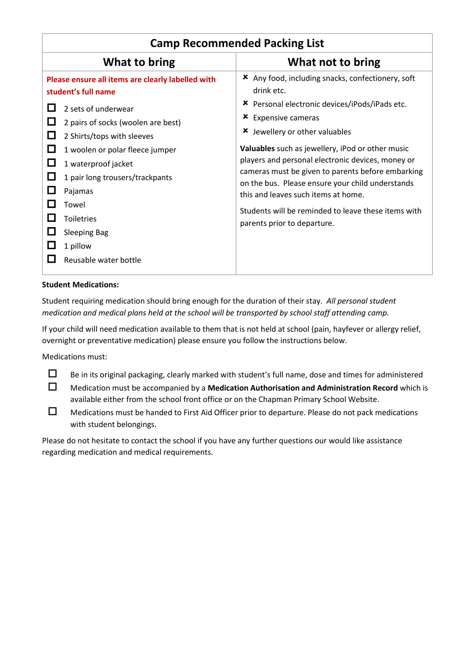| What to bring<br>What not to bring<br><b>★</b> Any food, including snacks, confectionery, soft<br>Please ensure all items are clearly labelled with<br>drink etc.<br>student's full name<br>* Personal electronic devices/iPods/iPads etc.<br>2 sets of underwear<br><b>*</b> Expensive cameras<br>$\Box$<br>2 pairs of socks (woolen are best)<br>Jewellery or other valuables<br>x<br>ш<br>2 Shirts/tops with sleeves<br><b>Valuables</b> such as jewellery, iPod or other music<br>ப<br>1 woolen or polar fleece jumper<br>players and personal electronic devices, money or<br>L.<br>1 waterproof jacket<br>cameras must be given to parents before embarking<br>1 pair long trousers/trackpants<br>$\Box$ | <b>Camp Recommended Packing List</b> |  |  |  |
|----------------------------------------------------------------------------------------------------------------------------------------------------------------------------------------------------------------------------------------------------------------------------------------------------------------------------------------------------------------------------------------------------------------------------------------------------------------------------------------------------------------------------------------------------------------------------------------------------------------------------------------------------------------------------------------------------------------|--------------------------------------|--|--|--|
|                                                                                                                                                                                                                                                                                                                                                                                                                                                                                                                                                                                                                                                                                                                |                                      |  |  |  |
| on the bus. Please ensure your child understands<br>Pajamas<br>this and leaves such items at home.<br>Towel<br>Students will be reminded to leave these items with<br><b>Toiletries</b><br>parents prior to departure.<br><b>Sleeping Bag</b><br>1 pillow<br>Reusable water bottle                                                                                                                                                                                                                                                                                                                                                                                                                             |                                      |  |  |  |

### **Student Medications:**

Student requiring medication should bring enough for the duration of their stay. *All personal student medication and medical plans held at the school will be transported by school staff attending camp.*

If your child will need medication available to them that is not held at school (pain, hayfever or allergy relief, overnight or preventative medication) please ensure you follow the instructions below.

Medications must:

- $\Box$  Be in its original packaging, clearly marked with student's full name, dose and times for administered
- Medication must be accompanied by a **Medication Authorisation and Administration Record** which is available either from the school front office or on the Chapman Primary School Website.
- $\Box$  Medications must be handed to First Aid Officer prior to departure. Please do not pack medications with student belongings.

Please do not hesitate to contact the school if you have any further questions our would like assistance regarding medication and medical requirements.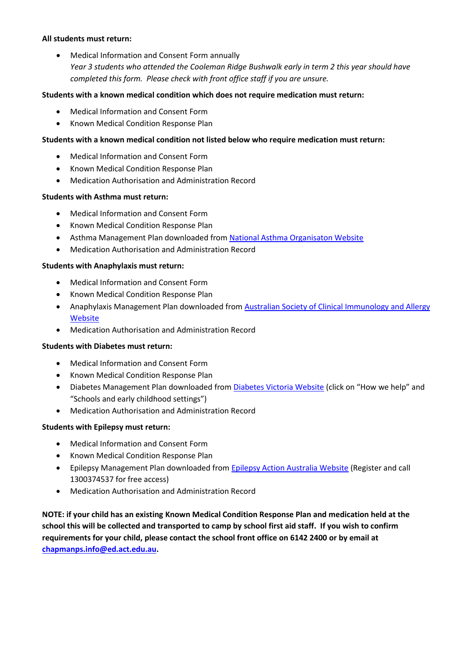#### **All students must return:**

• Medical Information and Consent Form annually *Year 3 students who attended the Cooleman Ridge Bushwalk early in term 2 this year should have completed this form. Please check with front office staff if you are unsure.*

## **Students with a known medical condition which does not require medication must return:**

- Medical Information and Consent Form
- Known Medical Condition Response Plan

## **Students with a known medical condition not listed below who require medication must return:**

- Medical Information and Consent Form
- Known Medical Condition Response Plan
- Medication Authorisation and Administration Record

#### **Students with Asthma must return:**

- Medical Information and Consent Form
- Known Medical Condition Response Plan
- Asthma Management Plan downloaded from [National Asthma Organisaton Website](http://www.nationalasthma.org.au/health-professionals/asthma-action-plans)
- Medication Authorisation and Administration Record

#### **Students with Anaphylaxis must return:**

- Medical Information and Consent Form
- Known Medical Condition Response Plan
- Anaphylaxis Management Plan downloaded from Australian Society of Clinical Immunology and Allergy **[Website](http://www.allergy.org.au/health-professionals/anaphylaxis-resources/ascia-action-plan-for-anaphylaxis)**
- Medication Authorisation and Administration Record

#### **Students with Diabetes must return:**

- Medical Information and Consent Form
- Known Medical Condition Response Plan
- Diabetes Management Plan downloaded from [Diabetes Victoria Website](https://www.diabetesvic.org.au/Home) (click on "How we help" and "Schools and early childhood settings")
- Medication Authorisation and Administration Record

#### **Students with Epilepsy must return:**

- Medical Information and Consent Form
- Known Medical Condition Response Plan
- Epilepsy Management Plan downloaded fro[m Epilepsy Action Australia Website](https://www.epilepsy.org.au/node/3485) (Register and call 1300374537 for free access)
- Medication Authorisation and Administration Record

**NOTE: if your child has an existing Known Medical Condition Response Plan and medication held at the school this will be collected and transported to camp by school first aid staff. If you wish to confirm requirements for your child, please contact the school front office on 6142 2400 or by email at [chapmanps.info@ed.act.edu.au.](mailto:chapmanps.info@ed.act.edu.au)**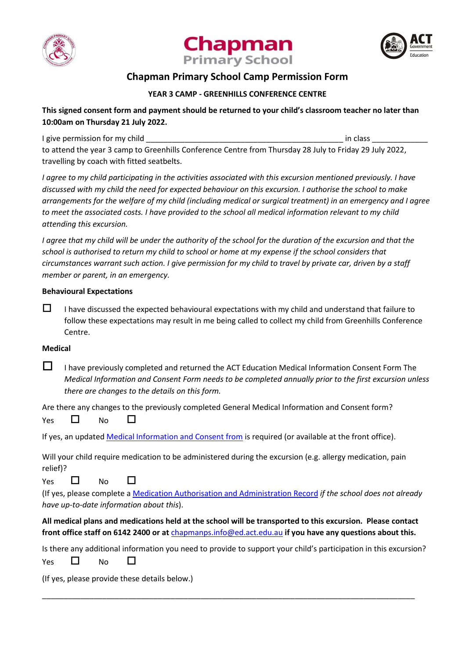





# **Chapman Primary School Camp Permission Form**

## **YEAR 3 CAMP - GREENHILLS CONFERENCE CENTRE**

# **This signed consent form and payment should be returned to your child's classroom teacher no later than 10:00am on Thursday 21 July 2022.**

I give permission for my child \_\_\_\_\_\_\_\_\_\_\_\_\_\_\_\_\_\_\_\_\_\_\_\_\_\_\_\_\_\_\_\_\_\_\_\_\_\_\_\_\_\_\_\_\_\_ in class \_\_\_\_\_\_\_\_\_\_\_\_\_

to attend the year 3 camp to Greenhills Conference Centre from Thursday 28 July to Friday 29 July 2022, travelling by coach with fitted seatbelts.

*I agree to my child participating in the activities associated with this excursion mentioned previously. I have discussed with my child the need for expected behaviour on this excursion. I authorise the school to make arrangements for the welfare of my child (including medical or surgical treatment) in an emergency and I agree to meet the associated costs. I have provided to the school all medical information relevant to my child attending this excursion.* 

*I* agree that my child will be under the authority of the school for the duration of the excursion and that the *school is authorised to return my child to school or home at my expense if the school considers that circumstances warrant such action. I give permission for my child to travel by private car, driven by a staff member or parent, in an emergency.*

## **Behavioural Expectations**

 $\Box$  I have discussed the expected behavioural expectations with my child and understand that failure to follow these expectations may result in me being called to collect my child from Greenhills Conference Centre.

## **Medical**

 $\Box$  I have previously completed and returned the ACT Education Medical Information Consent Form The *Medical Information and Consent Form needs to be completed annually prior to the first excursion unless there are changes to the details on this form.*

Are there any changes to the previously completed General Medical Information and Consent form? Yes  $\Box$  No  $\Box$ 

If yes, an updated [Medical Information and Consent from](https://www.chapmanps.act.edu.au/__data/assets/pdf_file/0004/534460/Medical-Information-and-Consent-Form.pdf) is required (or available at the front office).

Will your child require medication to be administered during the excursion (e.g. allergy medication, pain relief)?

Yes  $\Box$  No  $\Box$ 

(If yes, please complete [a Medication Authorisation and Administration Record](https://www.chapmanps.act.edu.au/__data/assets/pdf_file/0003/534477/Medication-Authorisation-Administration-Record-General.pdf) *if the school does not already have up-to-date information about this*).

# **All medical plans and medications held at the school will be transported to this excursion. Please contact front office staff on 6142 2400 or at** [chapmanps.info@ed.act.edu.au](mailto:chapmanps.info@ed.act.edu.au) **if you have any questions about this.**

Is there any additional information you need to provide to support your child's participation in this excursion?

\_\_\_\_\_\_\_\_\_\_\_\_\_\_\_\_\_\_\_\_\_\_\_\_\_\_\_\_\_\_\_\_\_\_\_\_\_\_\_\_\_\_\_\_\_\_\_\_\_\_\_\_\_\_\_\_\_\_\_\_\_\_\_\_\_\_\_\_\_\_\_\_\_\_\_\_\_\_\_\_\_\_\_\_\_\_\_

Yes  $\Box$  No  $\Box$ 

(If yes, please provide these details below.)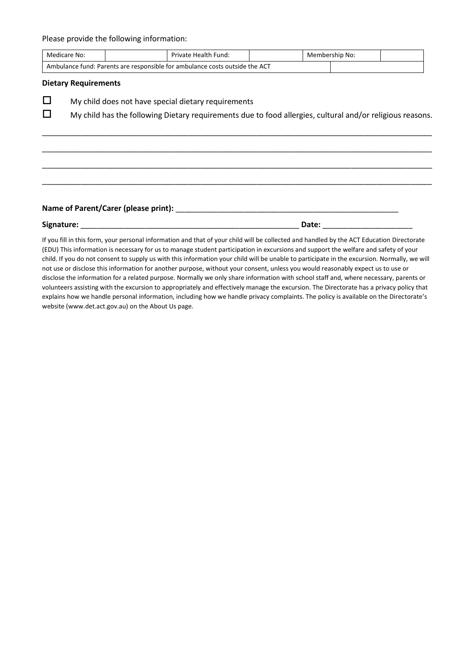Please provide the following information:

| Name of Parent/Carer (please print): |                                                                                                           |  |
|--------------------------------------|-----------------------------------------------------------------------------------------------------------|--|
|                                      |                                                                                                           |  |
|                                      |                                                                                                           |  |
|                                      |                                                                                                           |  |
|                                      |                                                                                                           |  |
|                                      | My child has the following Dietary requirements due to food allergies, cultural and/or religious reasons. |  |
|                                      | My child does not have special dietary requirements                                                       |  |
| <b>Dietary Requirements</b>          |                                                                                                           |  |
|                                      | Ambulance fund: Parents are responsible for ambulance costs outside the ACT                               |  |
|                                      |                                                                                                           |  |

If you fill in this form, your personal information and that of your child will be collected and handled by the ACT Education Directorate (EDU) This information is necessary for us to manage student participation in excursions and support the welfare and safety of your child. If you do not consent to supply us with this information your child will be unable to participate in the excursion. Normally, we will not use or disclose this information for another purpose, without your consent, unless you would reasonably expect us to use or disclose the information for a related purpose. Normally we only share information with school staff and, where necessary, parents or volunteers assisting with the excursion to appropriately and effectively manage the excursion. The Directorate has a privacy policy that explains how we handle personal information, including how we handle privacy complaints. The policy is available on the Directorate's website (www.det.act.gov.au) on the About Us page.